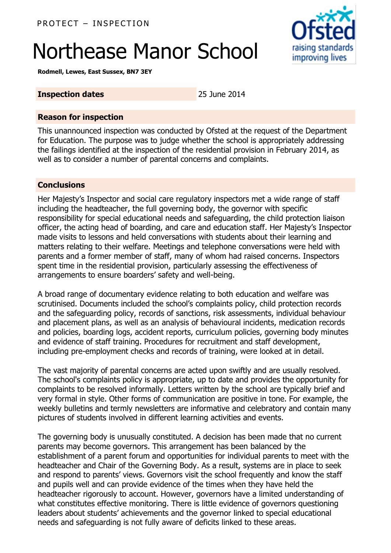# Northease Manor School

raising standards improving lives

**Rodmell, Lewes, East Sussex, BN7 3EY**

#### **Inspection dates** 25 June 2014

#### **Reason for inspection**

This unannounced inspection was conducted by Ofsted at the request of the Department for Education. The purpose was to judge whether the school is appropriately addressing the failings identified at the inspection of the residential provision in February 2014, as well as to consider a number of parental concerns and complaints.

#### **Conclusions**

Her Majesty's Inspector and social care regulatory inspectors met a wide range of staff including the headteacher, the full governing body, the governor with specific responsibility for special educational needs and safeguarding, the child protection liaison officer, the acting head of boarding, and care and education staff. Her Majesty's Inspector made visits to lessons and held conversations with students about their learning and matters relating to their welfare. Meetings and telephone conversations were held with parents and a former member of staff, many of whom had raised concerns. Inspectors spent time in the residential provision, particularly assessing the effectiveness of arrangements to ensure boarders' safety and well-being.

A broad range of documentary evidence relating to both education and welfare was scrutinised. Documents included the school's complaints policy, child protection records and the safeguarding policy, records of sanctions, risk assessments, individual behaviour and placement plans, as well as an analysis of behavioural incidents, medication records and policies, boarding logs, accident reports, curriculum policies, governing body minutes and evidence of staff training. Procedures for recruitment and staff development, including pre-employment checks and records of training, were looked at in detail.

The vast majority of parental concerns are acted upon swiftly and are usually resolved. The school's complaints policy is appropriate, up to date and provides the opportunity for complaints to be resolved informally. Letters written by the school are typically brief and very formal in style. Other forms of communication are positive in tone. For example, the weekly bulletins and termly newsletters are informative and celebratory and contain many pictures of students involved in different learning activities and events.

The governing body is unusually constituted. A decision has been made that no current parents may become governors. This arrangement has been balanced by the establishment of a parent forum and opportunities for individual parents to meet with the headteacher and Chair of the Governing Body. As a result, systems are in place to seek and respond to parents' views. Governors visit the school frequently and know the staff and pupils well and can provide evidence of the times when they have held the headteacher rigorously to account. However, governors have a limited understanding of what constitutes effective monitoring. There is little evidence of governors questioning leaders about students' achievements and the governor linked to special educational needs and safeguarding is not fully aware of deficits linked to these areas.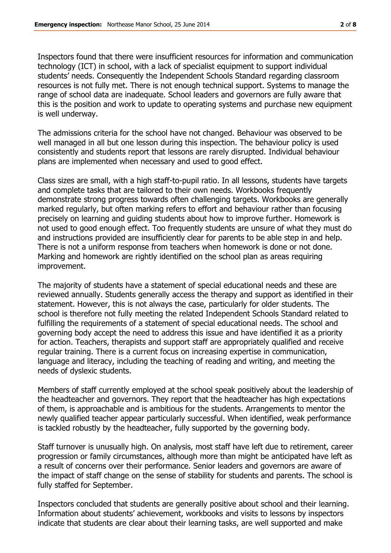Inspectors found that there were insufficient resources for information and communication technology (ICT) in school, with a lack of specialist equipment to support individual students' needs. Consequently the Independent Schools Standard regarding classroom resources is not fully met. There is not enough technical support. Systems to manage the range of school data are inadequate. School leaders and governors are fully aware that this is the position and work to update to operating systems and purchase new equipment is well underway.

The admissions criteria for the school have not changed. Behaviour was observed to be well managed in all but one lesson during this inspection. The behaviour policy is used consistently and students report that lessons are rarely disrupted. Individual behaviour plans are implemented when necessary and used to good effect.

Class sizes are small, with a high staff-to-pupil ratio. In all lessons, students have targets and complete tasks that are tailored to their own needs. Workbooks frequently demonstrate strong progress towards often challenging targets. Workbooks are generally marked regularly, but often marking refers to effort and behaviour rather than focusing precisely on learning and guiding students about how to improve further. Homework is not used to good enough effect. Too frequently students are unsure of what they must do and instructions provided are insufficiently clear for parents to be able step in and help. There is not a uniform response from teachers when homework is done or not done. Marking and homework are rightly identified on the school plan as areas requiring improvement.

The majority of students have a statement of special educational needs and these are reviewed annually. Students generally access the therapy and support as identified in their statement. However, this is not always the case, particularly for older students. The school is therefore not fully meeting the related Independent Schools Standard related to fulfilling the requirements of a statement of special educational needs. The school and governing body accept the need to address this issue and have identified it as a priority for action. Teachers, therapists and support staff are appropriately qualified and receive regular training. There is a current focus on increasing expertise in communication, language and literacy, including the teaching of reading and writing, and meeting the needs of dyslexic students.

Members of staff currently employed at the school speak positively about the leadership of the headteacher and governors. They report that the headteacher has high expectations of them, is approachable and is ambitious for the students. Arrangements to mentor the newly qualified teacher appear particularly successful. When identified, weak performance is tackled robustly by the headteacher, fully supported by the governing body.

Staff turnover is unusually high. On analysis, most staff have left due to retirement, career progression or family circumstances, although more than might be anticipated have left as a result of concerns over their performance. Senior leaders and governors are aware of the impact of staff change on the sense of stability for students and parents. The school is fully staffed for September.

Inspectors concluded that students are generally positive about school and their learning. Information about students' achievement, workbooks and visits to lessons by inspectors indicate that students are clear about their learning tasks, are well supported and make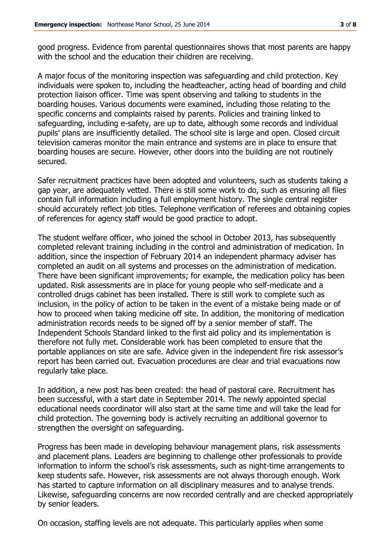good progress. Evidence from parental questionnaires shows that most parents are happy with the school and the education their children are receiving.

A major focus of the monitoring inspection was safeguarding and child protection. Key individuals were spoken to, including the headteacher, acting head of boarding and child protection liaison officer. Time was spent observing and talking to students in the boarding houses. Various documents were examined, including those relating to the specific concerns and complaints raised by parents. Policies and training linked to safeguarding, including e-safety, are up to date, although some records and individual pupils' plans are insufficiently detailed. The school site is large and open. Closed circuit television cameras monitor the main entrance and systems are in place to ensure that boarding houses are secure. However, other doors into the building are not routinely secured.

Safer recruitment practices have been adopted and volunteers, such as students taking a gap year, are adequately vetted. There is still some work to do, such as ensuring all files contain full information including a full employment history. The single central register should accurately reflect job titles. Telephone verification of referees and obtaining copies of references for agency staff would be good practice to adopt.

The student welfare officer, who joined the school in October 2013, has subsequently completed relevant training including in the control and administration of medication. In addition, since the inspection of February 2014 an independent pharmacy adviser has completed an audit on all systems and processes on the administration of medication. There have been significant improvements; for example, the medication policy has been updated. Risk assessments are in place for young people who self-medicate and a controlled drugs cabinet has been installed. There is still work to complete such as inclusion, in the policy of action to be taken in the event of a mistake being made or of how to proceed when taking medicine off site. In addition, the monitoring of medication administration records needs to be signed off by a senior member of staff. The Independent Schools Standard linked to the first aid policy and its implementation is therefore not fully met. Considerable work has been completed to ensure that the portable appliances on site are safe. Advice given in the independent fire risk assessor's report has been carried out. Evacuation procedures are clear and trial evacuations now regularly take place.

In addition, a new post has been created: the head of pastoral care. Recruitment has been successful, with a start date in September 2014. The newly appointed special educational needs coordinator will also start at the same time and will take the lead for child protection. The governing body is actively recruiting an additional governor to strengthen the oversight on safeguarding.

Progress has been made in developing behaviour management plans, risk assessments and placement plans. Leaders are beginning to challenge other professionals to provide information to inform the school's risk assessments, such as night-time arrangements to keep students safe. However, risk assessments are not always thorough enough. Work has started to capture information on all disciplinary measures and to analyse trends. Likewise, safeguarding concerns are now recorded centrally and are checked appropriately by senior leaders.

On occasion, staffing levels are not adequate. This particularly applies when some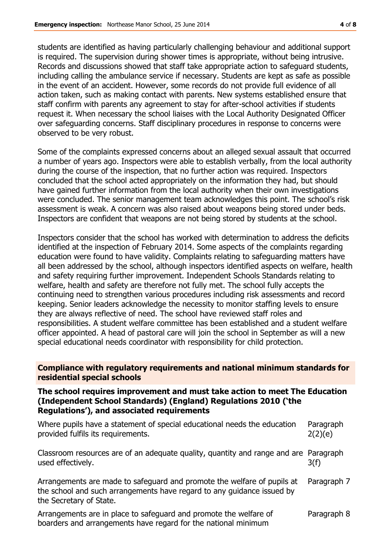students are identified as having particularly challenging behaviour and additional support is required. The supervision during shower times is appropriate, without being intrusive. Records and discussions showed that staff take appropriate action to safeguard students, including calling the ambulance service if necessary. Students are kept as safe as possible in the event of an accident. However, some records do not provide full evidence of all action taken, such as making contact with parents. New systems established ensure that staff confirm with parents any agreement to stay for after-school activities if students request it. When necessary the school liaises with the Local Authority Designated Officer over safeguarding concerns. Staff disciplinary procedures in response to concerns were observed to be very robust.

Some of the complaints expressed concerns about an alleged sexual assault that occurred a number of years ago. Inspectors were able to establish verbally, from the local authority during the course of the inspection, that no further action was required. Inspectors concluded that the school acted appropriately on the information they had, but should have gained further information from the local authority when their own investigations were concluded. The senior management team acknowledges this point. The school's risk assessment is weak. A concern was also raised about weapons being stored under beds. Inspectors are confident that weapons are not being stored by students at the school.

Inspectors consider that the school has worked with determination to address the deficits identified at the inspection of February 2014. Some aspects of the complaints regarding education were found to have validity. Complaints relating to safeguarding matters have all been addressed by the school, although inspectors identified aspects on welfare, health and safety requiring further improvement. Independent Schools Standards relating to welfare, health and safety are therefore not fully met. The school fully accepts the continuing need to strengthen various procedures including risk assessments and record keeping. Senior leaders acknowledge the necessity to monitor staffing levels to ensure they are always reflective of need. The school have reviewed staff roles and responsibilities. A student welfare committee has been established and a student welfare officer appointed. A head of pastoral care will join the school in September as will a new special educational needs coordinator with responsibility for child protection.

**Compliance with regulatory requirements and national minimum standards for residential special schools**

#### **The school requires improvement and must take action to meet The Education (Independent School Standards) (England) Regulations 2010 ('the Regulations'), and associated requirements**

| Where pupils have a statement of special educational needs the education<br>provided fulfils its requirements.                                                               | Paragraph<br>2(2)(e) |
|------------------------------------------------------------------------------------------------------------------------------------------------------------------------------|----------------------|
| Classroom resources are of an adequate quality, quantity and range and are Paragraph<br>used effectively.                                                                    | 3(f)                 |
| Arrangements are made to safeguard and promote the welfare of pupils at<br>the school and such arrangements have regard to any guidance issued by<br>the Secretary of State. | Paragraph 7          |
| Arrangements are in place to safeguard and promote the welfare of<br>boarders and arrangements have regard for the national minimum                                          | Paragraph 8          |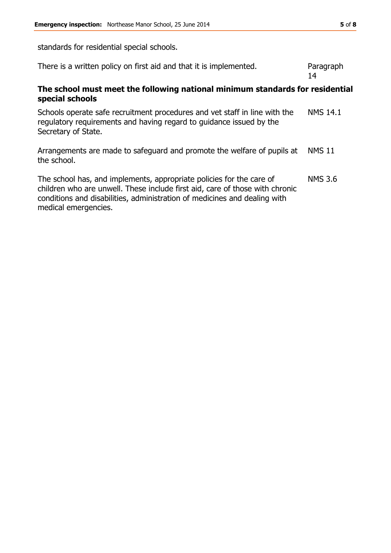standards for residential special schools.

| There is a written policy on first aid and that it is implemented.                                                                                                                                                                                        | Paragraph<br>14 |  |  |
|-----------------------------------------------------------------------------------------------------------------------------------------------------------------------------------------------------------------------------------------------------------|-----------------|--|--|
| The school must meet the following national minimum standards for residential<br>special schools                                                                                                                                                          |                 |  |  |
| Schools operate safe recruitment procedures and vet staff in line with the<br>regulatory requirements and having regard to guidance issued by the<br>Secretary of State.                                                                                  | <b>NMS 14.1</b> |  |  |
| Arrangements are made to safeguard and promote the welfare of pupils at<br>the school.                                                                                                                                                                    | <b>NMS 11</b>   |  |  |
| The school has, and implements, appropriate policies for the care of<br>children who are unwell. These include first aid, care of those with chronic<br>conditions and disabilities, administration of medicines and dealing with<br>medical emergencies. | <b>NMS 3.6</b>  |  |  |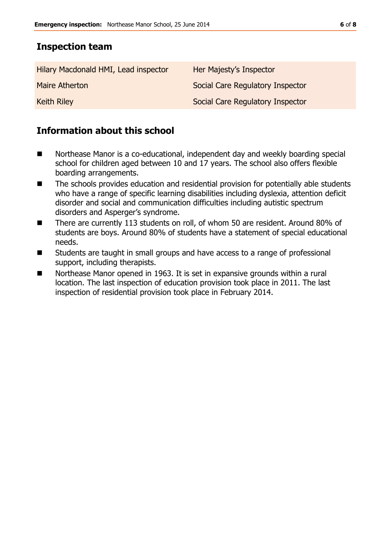## **Inspection team**

| Hilary Macdonald HMI, Lead inspector | Her Majesty's Inspector          |
|--------------------------------------|----------------------------------|
| Maire Atherton                       | Social Care Regulatory Inspector |
| <b>Keith Riley</b>                   | Social Care Regulatory Inspector |

# **Information about this school**

- Northease Manor is a co-educational, independent day and weekly boarding special school for children aged between 10 and 17 years. The school also offers flexible boarding arrangements.
- The schools provides education and residential provision for potentially able students who have a range of specific learning disabilities including dyslexia, attention deficit disorder and social and communication difficulties including autistic spectrum disorders and Asperger's syndrome.
- There are currently 113 students on roll, of whom 50 are resident. Around 80% of students are boys. Around 80% of students have a statement of special educational needs.
- Students are taught in small groups and have access to a range of professional support, including therapists.
- Northease Manor opened in 1963. It is set in expansive grounds within a rural location. The last inspection of education provision took place in 2011. The last inspection of residential provision took place in February 2014.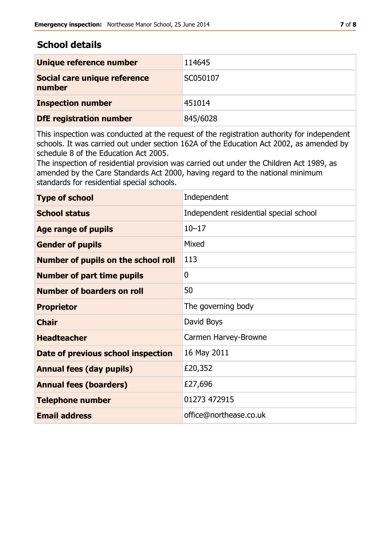### **School details**

| Unique reference number                | 114645   |
|----------------------------------------|----------|
| Social care unique reference<br>number | SC050107 |
| <b>Inspection number</b>               | 451014   |
| <b>DfE registration number</b>         | 845/6028 |

This inspection was conducted at the request of the registration authority for independent schools. It was carried out under section 162A of the Education Act 2002, as amended by schedule 8 of the Education Act 2005.

The inspection of residential provision was carried out under the Children Act 1989, as amended by the Care Standards Act 2000, having regard to the national minimum standards for residential special schools.

| <b>Type of school</b>               | Independent                            |
|-------------------------------------|----------------------------------------|
| <b>School status</b>                | Independent residential special school |
| <b>Age range of pupils</b>          | $10 - 17$                              |
| <b>Gender of pupils</b>             | Mixed                                  |
| Number of pupils on the school roll | 113                                    |
| <b>Number of part time pupils</b>   | $\mathbf{0}$                           |
| <b>Number of boarders on roll</b>   | 50                                     |
| <b>Proprietor</b>                   | The governing body                     |
| <b>Chair</b>                        | David Boys                             |
| <b>Headteacher</b>                  | Carmen Harvey-Browne                   |
| Date of previous school inspection  | 16 May 2011                            |
| <b>Annual fees (day pupils)</b>     | £20,352                                |
| <b>Annual fees (boarders)</b>       | £27,696                                |
| <b>Telephone number</b>             | 01273 472915                           |
| <b>Email address</b>                | office@northease.co.uk                 |